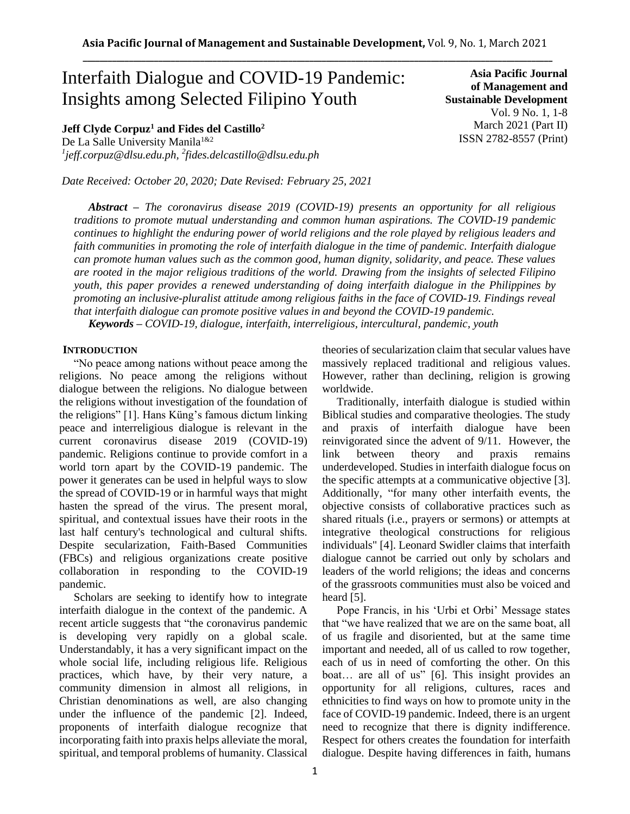# Interfaith Dialogue and COVID-19 Pandemic: Insights among Selected Filipino Youth

**Jeff Clyde Corpuz<sup>1</sup> and Fides del Castillo<sup>2</sup>**

De La Salle University Manila<sup>1&2</sup> *1 jeff.corpuz@dlsu.edu.ph, 2 fides.delcastillo@dlsu.edu.ph*

*Date Received: October 20, 2020; Date Revised: February 25, 2021*

**Asia Pacific Journal of Management and Sustainable Development**  Vol. 9 No. 1, 1-8 March 2021 (Part II) ISSN 2782-8557 (Print)

*Abstract – The coronavirus disease 2019 (COVID-19) presents an opportunity for all religious traditions to promote mutual understanding and common human aspirations. The COVID-19 pandemic continues to highlight the enduring power of world religions and the role played by religious leaders and faith communities in promoting the role of interfaith dialogue in the time of pandemic. Interfaith dialogue can promote human values such as the common good, human dignity, solidarity, and peace. These values are rooted in the major religious traditions of the world. Drawing from the insights of selected Filipino youth, this paper provides a renewed understanding of doing interfaith dialogue in the Philippines by promoting an inclusive-pluralist attitude among religious faiths in the face of COVID-19. Findings reveal that interfaith dialogue can promote positive values in and beyond the COVID-19 pandemic.*

*Keywords – COVID-19, dialogue, interfaith, interreligious, intercultural, pandemic, youth*

## **INTRODUCTION**

"No peace among nations without peace among the religions. No peace among the religions without dialogue between the religions. No dialogue between the religions without investigation of the foundation of the religions" [1]. Hans Küng's famous dictum linking peace and interreligious dialogue is relevant in the current coronavirus disease 2019 (COVID-19) pandemic. Religions continue to provide comfort in a world torn apart by the COVID-19 pandemic. The power it generates can be used in helpful ways to slow the spread of COVID-19 or in harmful ways that might hasten the spread of the virus. The present moral, spiritual, and contextual issues have their roots in the last half century's technological and cultural shifts. Despite secularization, Faith-Based Communities (FBCs) and religious organizations create positive collaboration in responding to the COVID-19 pandemic.

Scholars are seeking to identify how to integrate interfaith dialogue in the context of the pandemic. A recent article suggests that "the coronavirus pandemic is developing very rapidly on a global scale. Understandably, it has a very significant impact on the whole social life, including religious life. Religious practices, which have, by their very nature, a community dimension in almost all religions, in Christian denominations as well, are also changing under the influence of the pandemic [2]. Indeed, proponents of interfaith dialogue recognize that incorporating faith into praxis helps alleviate the moral, spiritual, and temporal problems of humanity. Classical theories of secularization claim that secular values have massively replaced traditional and religious values. However, rather than declining, religion is growing worldwide.

Traditionally, interfaith dialogue is studied within Biblical studies and comparative theologies. The study and praxis of interfaith dialogue have been reinvigorated since the advent of 9/11. However, the link between theory and praxis remains underdeveloped. Studies in interfaith dialogue focus on the specific attempts at a communicative objective [3]. Additionally, "for many other interfaith events, the objective consists of collaborative practices such as shared rituals (i.e., prayers or sermons) or attempts at integrative theological constructions for religious individuals" [4]. Leonard Swidler claims that interfaith dialogue cannot be carried out only by scholars and leaders of the world religions; the ideas and concerns of the grassroots communities must also be voiced and heard [5].

Pope Francis, in his 'Urbi et Orbi' Message states that "we have realized that we are on the same boat, all of us fragile and disoriented, but at the same time important and needed, all of us called to row together, each of us in need of comforting the other. On this boat… are all of us" [6]. This insight provides an opportunity for all religions, cultures, races and ethnicities to find ways on how to promote unity in the face of COVID-19 pandemic. Indeed, there is an urgent need to recognize that there is dignity indifference. Respect for others creates the foundation for interfaith dialogue. Despite having differences in faith, humans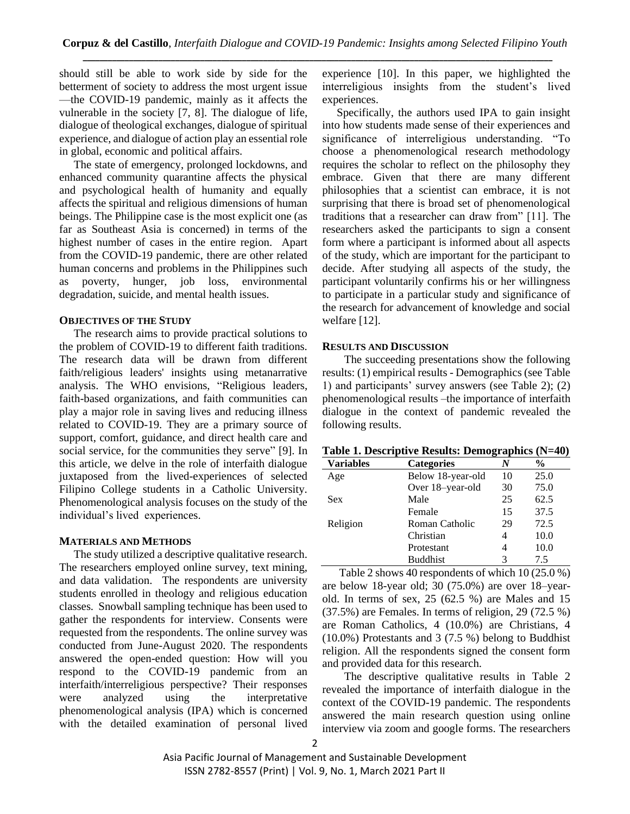should still be able to work side by side for the betterment of society to address the most urgent issue —the COVID-19 pandemic, mainly as it affects the vulnerable in the society [7, 8]. The dialogue of life, dialogue of theological exchanges, dialogue of spiritual experience, and dialogue of action play an essential role in global, economic and political affairs.

The state of emergency, prolonged lockdowns, and enhanced community quarantine affects the physical and psychological health of humanity and equally affects the spiritual and religious dimensions of human beings. The Philippine case is the most explicit one (as far as Southeast Asia is concerned) in terms of the highest number of cases in the entire region. Apart from the COVID-19 pandemic, there are other related human concerns and problems in the Philippines such as poverty, hunger, job loss, environmental degradation, suicide, and mental health issues.

## **OBJECTIVES OF THE STUDY**

The research aims to provide practical solutions to the problem of COVID-19 to different faith traditions. The research data will be drawn from different faith/religious leaders' insights using metanarrative analysis. The WHO envisions, "Religious leaders, faith-based organizations, and faith communities can play a major role in saving lives and reducing illness related to COVID-19. They are a primary source of support, comfort, guidance, and direct health care and social service, for the communities they serve" [9]. In this article, we delve in the role of interfaith dialogue juxtaposed from the lived-experiences of selected Filipino College students in a Catholic University. Phenomenological analysis focuses on the study of the individual's lived experiences.

## **MATERIALS AND METHODS**

The study utilized a descriptive qualitative research. The researchers employed online survey, text mining, and data validation. The respondents are university students enrolled in theology and religious education classes. Snowball sampling technique has been used to gather the respondents for interview. Consents were requested from the respondents. The online survey was conducted from June-August 2020. The respondents answered the open-ended question: How will you respond to the COVID-19 pandemic from an interfaith/interreligious perspective? Their responses were analyzed using the interpretative phenomenological analysis (IPA) which is concerned with the detailed examination of personal lived experience [10]. In this paper, we highlighted the interreligious insights from the student's lived experiences.

Specifically, the authors used IPA to gain insight into how students made sense of their experiences and significance of interreligious understanding. "To choose a phenomenological research methodology requires the scholar to reflect on the philosophy they embrace. Given that there are many different philosophies that a scientist can embrace, it is not surprising that there is broad set of phenomenological traditions that a researcher can draw from" [11]. The researchers asked the participants to sign a consent form where a participant is informed about all aspects of the study, which are important for the participant to decide. After studying all aspects of the study, the participant voluntarily confirms his or her willingness to participate in a particular study and significance of the research for advancement of knowledge and social welfare [12].

## **RESULTS AND DISCUSSION**

The succeeding presentations show the following results: (1) empirical results - Demographics (see Table 1) and participants' survey answers (see Table 2); (2) phenomenological results –the importance of interfaith dialogue in the context of pandemic revealed the following results.

|  |  |  |  |  |  |  | Table 1. Descriptive Results: Demographics (N=40) |  |  |
|--|--|--|--|--|--|--|---------------------------------------------------|--|--|
|--|--|--|--|--|--|--|---------------------------------------------------|--|--|

| <b>Variables</b> | <b>Categories</b> | N  | $\frac{6}{9}$ |
|------------------|-------------------|----|---------------|
| Age              | Below 18-year-old | 10 | 25.0          |
|                  | Over 18-year-old  | 30 | 75.0          |
| <b>Sex</b>       | Male              | 25 | 62.5          |
|                  | Female            | 15 | 37.5          |
| Religion         | Roman Catholic    | 29 | 72.5          |
|                  | Christian         | 4  | 10.0          |
|                  | Protestant        | 4  | 10.0          |
|                  | <b>Buddhist</b>   | 3  | 7.5           |

 Table 2 shows 40 respondents of which 10 (25.0 %) are below 18-year old; 30 (75.0%) are over 18–yearold. In terms of sex, 25 (62.5 %) are Males and 15 (37.5%) are Females. In terms of religion, 29 (72.5 %) are Roman Catholics, 4 (10.0%) are Christians, 4 (10.0%) Protestants and 3 (7.5 %) belong to Buddhist religion. All the respondents signed the consent form and provided data for this research.

The descriptive qualitative results in Table 2 revealed the importance of interfaith dialogue in the context of the COVID-19 pandemic. The respondents answered the main research question using online interview via zoom and google forms. The researchers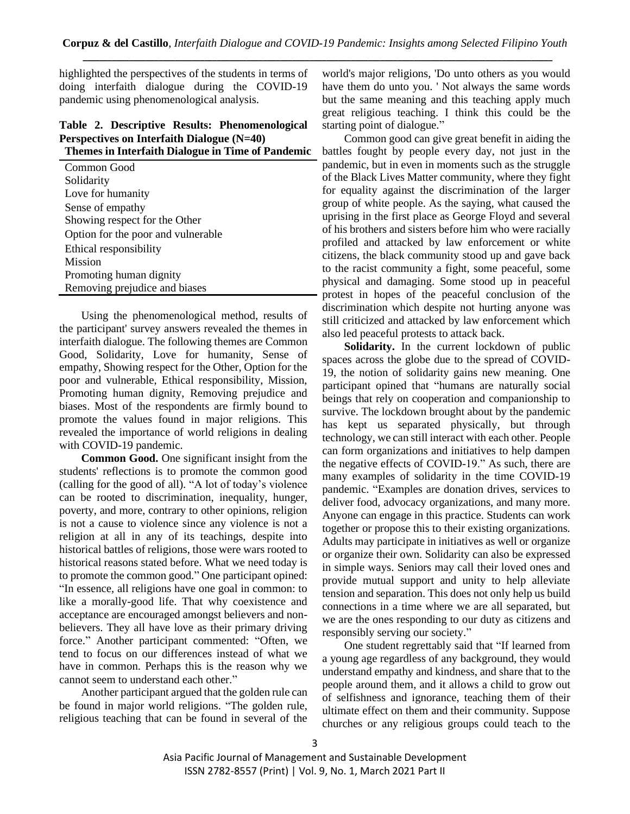highlighted the perspectives of the students in terms of doing interfaith dialogue during the COVID-19 pandemic using phenomenological analysis.

### **Table 2. Descriptive Results: Phenomenological Perspectives on Interfaith Dialogue (N=40) Themes in Interfaith Dialogue in Time of Pandemic**

| Themes in Interfacing Dialogue in Thine of I andemne |
|------------------------------------------------------|
| Common Good                                          |
| Solidarity                                           |
| Love for humanity                                    |
| Sense of empathy                                     |
| Showing respect for the Other                        |
| Option for the poor and vulnerable                   |
| Ethical responsibility                               |
| <b>Mission</b>                                       |
| Promoting human dignity                              |
| Removing prejudice and biases                        |

Using the phenomenological method, results of the participant' survey answers revealed the themes in interfaith dialogue. The following themes are Common Good, Solidarity, Love for humanity, Sense of empathy, Showing respect for the Other, Option for the poor and vulnerable, Ethical responsibility, Mission, Promoting human dignity, Removing prejudice and biases. Most of the respondents are firmly bound to promote the values found in major religions. This revealed the importance of world religions in dealing with COVID-19 pandemic.

**Common Good.** One significant insight from the students' reflections is to promote the common good (calling for the good of all). "A lot of today's violence can be rooted to discrimination, inequality, hunger, poverty, and more, contrary to other opinions, religion is not a cause to violence since any violence is not a religion at all in any of its teachings, despite into historical battles of religions, those were wars rooted to historical reasons stated before. What we need today is to promote the common good." One participant opined: "In essence, all religions have one goal in common: to like a morally-good life. That why coexistence and acceptance are encouraged amongst believers and nonbelievers. They all have love as their primary driving force." Another participant commented: "Often, we tend to focus on our differences instead of what we have in common. Perhaps this is the reason why we cannot seem to understand each other."

Another participant argued that the golden rule can be found in major world religions. "The golden rule, religious teaching that can be found in several of the

world's major religions, 'Do unto others as you would have them do unto you. ' Not always the same words but the same meaning and this teaching apply much great religious teaching. I think this could be the starting point of dialogue."

Common good can give great benefit in aiding the battles fought by people every day, not just in the pandemic, but in even in moments such as the struggle of the Black Lives Matter community, where they fight for equality against the discrimination of the larger group of white people. As the saying, what caused the uprising in the first place as George Floyd and several of his brothers and sisters before him who were racially profiled and attacked by law enforcement or white citizens, the black community stood up and gave back to the racist community a fight, some peaceful, some physical and damaging. Some stood up in peaceful protest in hopes of the peaceful conclusion of the discrimination which despite not hurting anyone was still criticized and attacked by law enforcement which also led peaceful protests to attack back.

**Solidarity.** In the current lockdown of public spaces across the globe due to the spread of COVID-19, the notion of solidarity gains new meaning. One participant opined that "humans are naturally social beings that rely on cooperation and companionship to survive. The lockdown brought about by the pandemic has kept us separated physically, but through technology, we can still interact with each other. People can form organizations and initiatives to help dampen the negative effects of COVID-19." As such, there are many examples of solidarity in the time COVID-19 pandemic. "Examples are donation drives, services to deliver food, advocacy organizations, and many more. Anyone can engage in this practice. Students can work together or propose this to their existing organizations. Adults may participate in initiatives as well or organize or organize their own. Solidarity can also be expressed in simple ways. Seniors may call their loved ones and provide mutual support and unity to help alleviate tension and separation. This does not only help us build connections in a time where we are all separated, but we are the ones responding to our duty as citizens and responsibly serving our society."

One student regrettably said that "If learned from a young age regardless of any background, they would understand empathy and kindness, and share that to the people around them, and it allows a child to grow out of selfishness and ignorance, teaching them of their ultimate effect on them and their community. Suppose churches or any religious groups could teach to the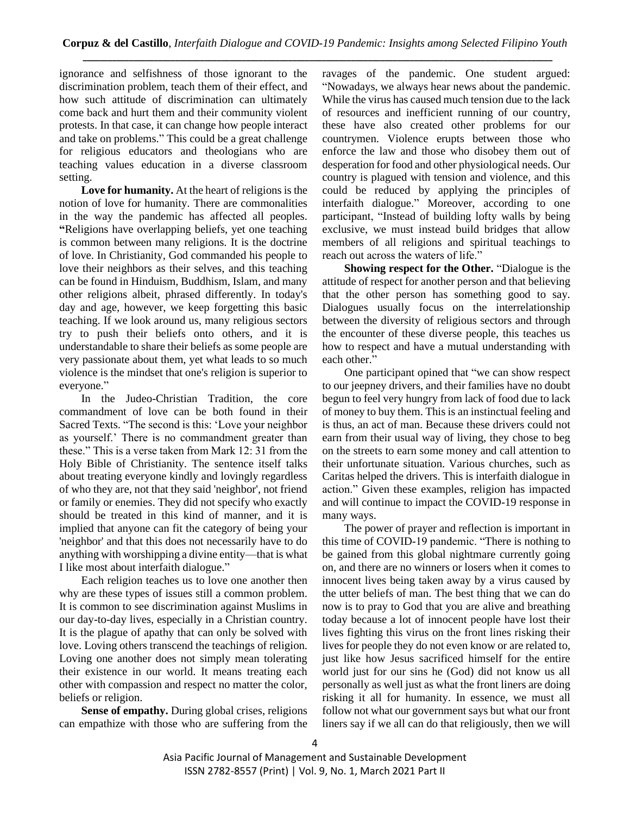ignorance and selfishness of those ignorant to the discrimination problem, teach them of their effect, and how such attitude of discrimination can ultimately come back and hurt them and their community violent protests. In that case, it can change how people interact and take on problems." This could be a great challenge for religious educators and theologians who are teaching values education in a diverse classroom setting.

**Love for humanity.** At the heart of religions is the notion of love for humanity. There are commonalities in the way the pandemic has affected all peoples. **"**Religions have overlapping beliefs, yet one teaching is common between many religions. It is the doctrine of love. In Christianity, God commanded his people to love their neighbors as their selves, and this teaching can be found in Hinduism, Buddhism, Islam, and many other religions albeit, phrased differently. In today's day and age, however, we keep forgetting this basic teaching. If we look around us, many religious sectors try to push their beliefs onto others, and it is understandable to share their beliefs as some people are very passionate about them, yet what leads to so much violence is the mindset that one's religion is superior to everyone."

In the Judeo-Christian Tradition, the core commandment of love can be both found in their Sacred Texts. "The second is this: 'Love your neighbor as yourself.' There is no commandment greater than these." This is a verse taken from Mark 12: 31 from the Holy Bible of Christianity. The sentence itself talks about treating everyone kindly and lovingly regardless of who they are, not that they said 'neighbor', not friend or family or enemies. They did not specify who exactly should be treated in this kind of manner, and it is implied that anyone can fit the category of being your 'neighbor' and that this does not necessarily have to do anything with worshipping a divine entity—that is what I like most about interfaith dialogue."

Each religion teaches us to love one another then why are these types of issues still a common problem. It is common to see discrimination against Muslims in our day-to-day lives, especially in a Christian country. It is the plague of apathy that can only be solved with love. Loving others transcend the teachings of religion. Loving one another does not simply mean tolerating their existence in our world. It means treating each other with compassion and respect no matter the color, beliefs or religion.

**Sense of empathy.** During global crises, religions can empathize with those who are suffering from the ravages of the pandemic. One student argued: "Nowadays, we always hear news about the pandemic. While the virus has caused much tension due to the lack of resources and inefficient running of our country, these have also created other problems for our countrymen. Violence erupts between those who enforce the law and those who disobey them out of desperation for food and other physiological needs. Our country is plagued with tension and violence, and this could be reduced by applying the principles of interfaith dialogue." Moreover, according to one participant, "Instead of building lofty walls by being exclusive, we must instead build bridges that allow members of all religions and spiritual teachings to reach out across the waters of life."

**Showing respect for the Other.** "Dialogue is the attitude of respect for another person and that believing that the other person has something good to say. Dialogues usually focus on the interrelationship between the diversity of religious sectors and through the encounter of these diverse people, this teaches us how to respect and have a mutual understanding with each other."

One participant opined that "we can show respect to our jeepney drivers, and their families have no doubt begun to feel very hungry from lack of food due to lack of money to buy them. This is an instinctual feeling and is thus, an act of man. Because these drivers could not earn from their usual way of living, they chose to beg on the streets to earn some money and call attention to their unfortunate situation. Various churches, such as Caritas helped the drivers. This is interfaith dialogue in action." Given these examples, religion has impacted and will continue to impact the COVID-19 response in many ways.

The power of prayer and reflection is important in this time of COVID-19 pandemic. "There is nothing to be gained from this global nightmare currently going on, and there are no winners or losers when it comes to innocent lives being taken away by a virus caused by the utter beliefs of man. The best thing that we can do now is to pray to God that you are alive and breathing today because a lot of innocent people have lost their lives fighting this virus on the front lines risking their lives for people they do not even know or are related to, just like how Jesus sacrificed himself for the entire world just for our sins he (God) did not know us all personally as well just as what the front liners are doing risking it all for humanity. In essence, we must all follow not what our government says but what our front liners say if we all can do that religiously, then we will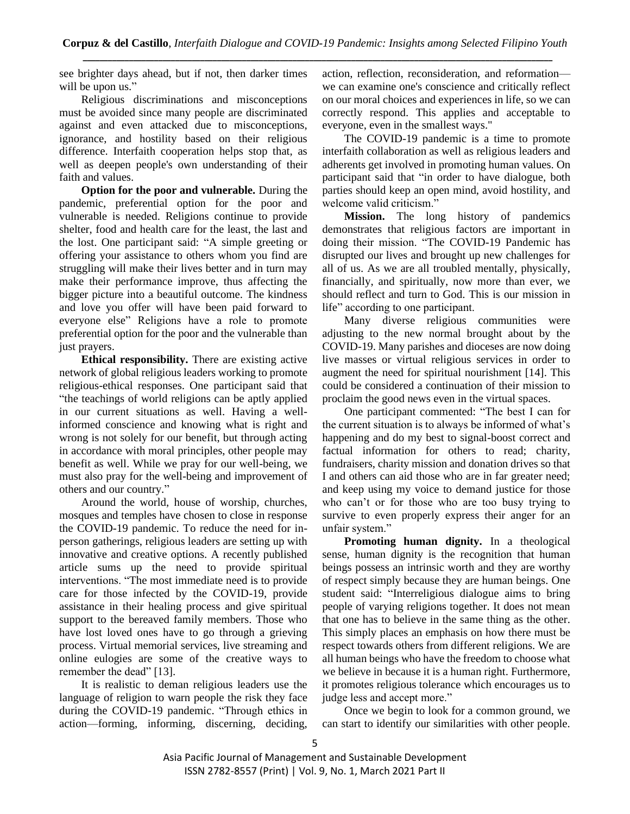see brighter days ahead, but if not, then darker times will be upon us."

Religious discriminations and misconceptions must be avoided since many people are discriminated against and even attacked due to misconceptions, ignorance, and hostility based on their religious difference. Interfaith cooperation helps stop that, as well as deepen people's own understanding of their faith and values.

**Option for the poor and vulnerable.** During the pandemic, preferential option for the poor and vulnerable is needed. Religions continue to provide shelter, food and health care for the least, the last and the lost. One participant said: "A simple greeting or offering your assistance to others whom you find are struggling will make their lives better and in turn may make their performance improve, thus affecting the bigger picture into a beautiful outcome. The kindness and love you offer will have been paid forward to everyone else" Religions have a role to promote preferential option for the poor and the vulnerable than just prayers.

**Ethical responsibility.** There are existing active network of global religious leaders working to promote religious-ethical responses. One participant said that "the teachings of world religions can be aptly applied in our current situations as well. Having a wellinformed conscience and knowing what is right and wrong is not solely for our benefit, but through acting in accordance with moral principles, other people may benefit as well. While we pray for our well-being, we must also pray for the well-being and improvement of others and our country."

Around the world, house of worship, churches, mosques and temples have chosen to close in response the COVID-19 pandemic. To reduce the need for inperson gatherings, religious leaders are setting up with innovative and creative options. A recently published article sums up the need to provide spiritual interventions. "The most immediate need is to provide care for those infected by the COVID-19, provide assistance in their healing process and give spiritual support to the bereaved family members. Those who have lost loved ones have to go through a grieving process. Virtual memorial services, live streaming and online eulogies are some of the creative ways to remember the dead" [13].

It is realistic to deman religious leaders use the language of religion to warn people the risk they face during the COVID-19 pandemic. "Through ethics in action—forming, informing, discerning, deciding, action, reflection, reconsideration, and reformation we can examine one's conscience and critically reflect on our moral choices and experiences in life, so we can correctly respond. This applies and acceptable to everyone, even in the smallest ways."

The COVID-19 pandemic is a time to promote interfaith collaboration as well as religious leaders and adherents get involved in promoting human values. On participant said that "in order to have dialogue, both parties should keep an open mind, avoid hostility, and welcome valid criticism."

**Mission.** The long history of pandemics demonstrates that religious factors are important in doing their mission. "The COVID-19 Pandemic has disrupted our lives and brought up new challenges for all of us. As we are all troubled mentally, physically, financially, and spiritually, now more than ever, we should reflect and turn to God. This is our mission in life" according to one participant.

Many diverse religious communities were adjusting to the new normal brought about by the COVID-19. Many parishes and dioceses are now doing live masses or virtual religious services in order to augment the need for spiritual nourishment [14]. This could be considered a continuation of their mission to proclaim the good news even in the virtual spaces.

One participant commented: "The best I can for the current situation is to always be informed of what's happening and do my best to signal-boost correct and factual information for others to read; charity, fundraisers, charity mission and donation drives so that I and others can aid those who are in far greater need; and keep using my voice to demand justice for those who can't or for those who are too busy trying to survive to even properly express their anger for an unfair system."

**Promoting human dignity.** In a theological sense, human dignity is the recognition that human beings possess an intrinsic worth and they are worthy of respect simply because they are human beings. One student said: "Interreligious dialogue aims to bring people of varying religions together. It does not mean that one has to believe in the same thing as the other. This simply places an emphasis on how there must be respect towards others from different religions. We are all human beings who have the freedom to choose what we believe in because it is a human right. Furthermore, it promotes religious tolerance which encourages us to judge less and accept more."

Once we begin to look for a common ground, we can start to identify our similarities with other people.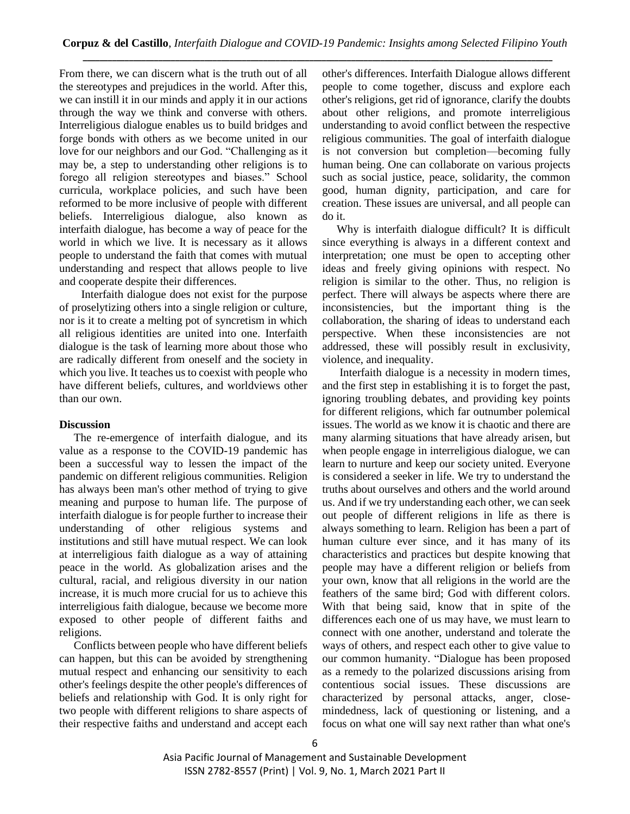From there, we can discern what is the truth out of all the stereotypes and prejudices in the world. After this, we can instill it in our minds and apply it in our actions through the way we think and converse with others. Interreligious dialogue enables us to build bridges and forge bonds with others as we become united in our love for our neighbors and our God. "Challenging as it may be, a step to understanding other religions is to forego all religion stereotypes and biases." School curricula, workplace policies, and such have been reformed to be more inclusive of people with different beliefs. Interreligious dialogue, also known as interfaith dialogue, has become a way of peace for the world in which we live. It is necessary as it allows people to understand the faith that comes with mutual understanding and respect that allows people to live and cooperate despite their differences.

Interfaith dialogue does not exist for the purpose of proselytizing others into a single religion or culture, nor is it to create a melting pot of syncretism in which all religious identities are united into one. Interfaith dialogue is the task of learning more about those who are radically different from oneself and the society in which you live. It teaches us to coexist with people who have different beliefs, cultures, and worldviews other than our own.

## **Discussion**

The re-emergence of interfaith dialogue, and its value as a response to the COVID-19 pandemic has been a successful way to lessen the impact of the pandemic on different religious communities. Religion has always been man's other method of trying to give meaning and purpose to human life. The purpose of interfaith dialogue is for people further to increase their understanding of other religious systems and institutions and still have mutual respect. We can look at interreligious faith dialogue as a way of attaining peace in the world. As globalization arises and the cultural, racial, and religious diversity in our nation increase, it is much more crucial for us to achieve this interreligious faith dialogue, because we become more exposed to other people of different faiths and religions.

Conflicts between people who have different beliefs can happen, but this can be avoided by strengthening mutual respect and enhancing our sensitivity to each other's feelings despite the other people's differences of beliefs and relationship with God. It is only right for two people with different religions to share aspects of their respective faiths and understand and accept each other's differences. Interfaith Dialogue allows different people to come together, discuss and explore each other's religions, get rid of ignorance, clarify the doubts about other religions, and promote interreligious understanding to avoid conflict between the respective religious communities. The goal of interfaith dialogue is not conversion but completion—becoming fully human being. One can collaborate on various projects such as social justice, peace, solidarity, the common good, human dignity, participation, and care for creation. These issues are universal, and all people can do it.

Why is interfaith dialogue difficult? It is difficult since everything is always in a different context and interpretation; one must be open to accepting other ideas and freely giving opinions with respect. No religion is similar to the other. Thus, no religion is perfect. There will always be aspects where there are inconsistencies, but the important thing is the collaboration, the sharing of ideas to understand each perspective. When these inconsistencies are not addressed, these will possibly result in exclusivity, violence, and inequality.

Interfaith dialogue is a necessity in modern times, and the first step in establishing it is to forget the past, ignoring troubling debates, and providing key points for different religions, which far outnumber polemical issues. The world as we know it is chaotic and there are many alarming situations that have already arisen, but when people engage in interreligious dialogue, we can learn to nurture and keep our society united. Everyone is considered a seeker in life. We try to understand the truths about ourselves and others and the world around us. And if we try understanding each other, we can seek out people of different religions in life as there is always something to learn. Religion has been a part of human culture ever since, and it has many of its characteristics and practices but despite knowing that people may have a different religion or beliefs from your own, know that all religions in the world are the feathers of the same bird; God with different colors. With that being said, know that in spite of the differences each one of us may have, we must learn to connect with one another, understand and tolerate the ways of others, and respect each other to give value to our common humanity. "Dialogue has been proposed as a remedy to the polarized discussions arising from contentious social issues. These discussions are characterized by personal attacks, anger, closemindedness, lack of questioning or listening, and a focus on what one will say next rather than what one's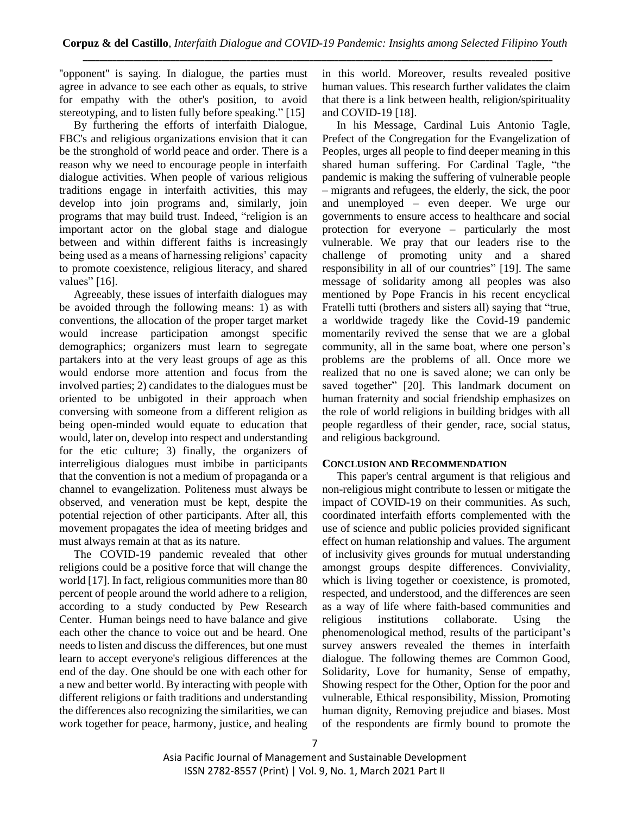"opponent" is saying. In dialogue, the parties must agree in advance to see each other as equals, to strive for empathy with the other's position, to avoid stereotyping, and to listen fully before speaking." [15]

By furthering the efforts of interfaith Dialogue, FBC's and religious organizations envision that it can be the stronghold of world peace and order. There is a reason why we need to encourage people in interfaith dialogue activities. When people of various religious traditions engage in interfaith activities, this may develop into join programs and, similarly, join programs that may build trust. Indeed, "religion is an important actor on the global stage and dialogue between and within different faiths is increasingly being used as a means of harnessing religions' capacity to promote coexistence, religious literacy, and shared values" [16].

Agreeably, these issues of interfaith dialogues may be avoided through the following means: 1) as with conventions, the allocation of the proper target market would increase participation amongst specific demographics; organizers must learn to segregate partakers into at the very least groups of age as this would endorse more attention and focus from the involved parties; 2) candidates to the dialogues must be oriented to be unbigoted in their approach when conversing with someone from a different religion as being open-minded would equate to education that would, later on, develop into respect and understanding for the etic culture; 3) finally, the organizers of interreligious dialogues must imbibe in participants that the convention is not a medium of propaganda or a channel to evangelization. Politeness must always be observed, and veneration must be kept, despite the potential rejection of other participants. After all, this movement propagates the idea of meeting bridges and must always remain at that as its nature.

The COVID-19 pandemic revealed that other religions could be a positive force that will change the world [17]. In fact, religious communities more than 80 percent of people around the world adhere to a religion, according to a study conducted by Pew Research Center. Human beings need to have balance and give each other the chance to voice out and be heard. One needs to listen and discuss the differences, but one must learn to accept everyone's religious differences at the end of the day. One should be one with each other for a new and better world. By interacting with people with different religions or faith traditions and understanding the differences also recognizing the similarities, we can work together for peace, harmony, justice, and healing in this world. Moreover, results revealed positive human values. This research further validates the claim that there is a link between health, religion/spirituality and COVID-19 [18].

In his Message, Cardinal Luis Antonio Tagle, Prefect of the Congregation for the Evangelization of Peoples, urges all people to find deeper meaning in this shared human suffering. For Cardinal Tagle, "the pandemic is making the suffering of vulnerable people – migrants and refugees, the elderly, the sick, the poor and unemployed – even deeper. We urge our governments to ensure access to healthcare and social protection for everyone – particularly the most vulnerable. We pray that our leaders rise to the challenge of promoting unity and a shared responsibility in all of our countries" [19]. The same message of solidarity among all peoples was also mentioned by Pope Francis in his recent encyclical Fratelli tutti (brothers and sisters all) saying that "true, a worldwide tragedy like the Covid-19 pandemic momentarily revived the sense that we are a global community, all in the same boat, where one person's problems are the problems of all. Once more we realized that no one is saved alone; we can only be saved together" [20]. This landmark document on human fraternity and social friendship emphasizes on the role of world religions in building bridges with all people regardless of their gender, race, social status, and religious background.

## **CONCLUSION AND RECOMMENDATION**

This paper's central argument is that religious and non-religious might contribute to lessen or mitigate the impact of COVID-19 on their communities. As such, coordinated interfaith efforts complemented with the use of science and public policies provided significant effect on human relationship and values. The argument of inclusivity gives grounds for mutual understanding amongst groups despite differences. Conviviality, which is living together or coexistence, is promoted, respected, and understood, and the differences are seen as a way of life where faith-based communities and religious institutions collaborate. Using the phenomenological method, results of the participant's survey answers revealed the themes in interfaith dialogue. The following themes are Common Good, Solidarity, Love for humanity, Sense of empathy, Showing respect for the Other, Option for the poor and vulnerable, Ethical responsibility, Mission, Promoting human dignity, Removing prejudice and biases. Most of the respondents are firmly bound to promote the